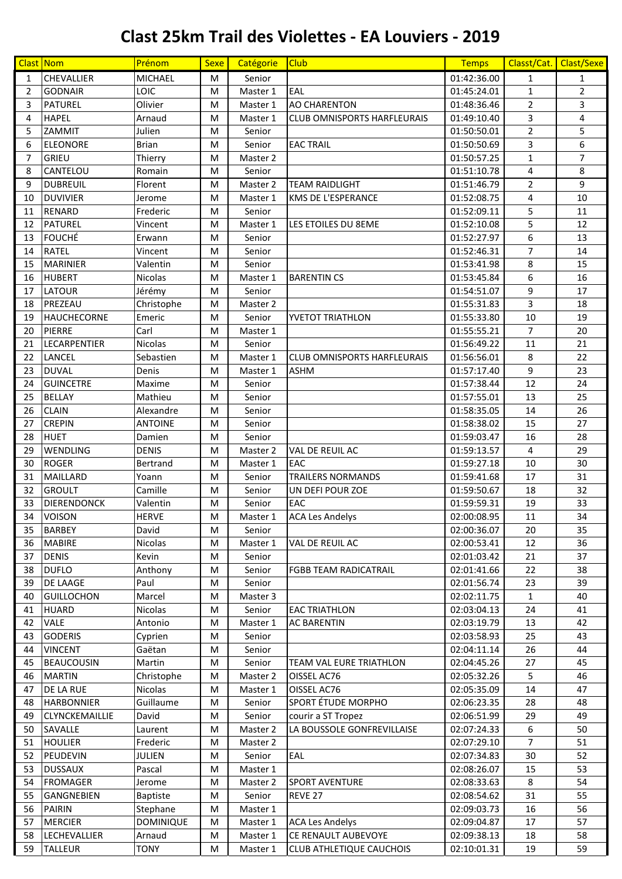## **Clast 25km Trail des Violettes - EA Louviers - 2019**

|                | <b>Clast Nom</b>    | Prénom           | <b>Sexe</b> | Catégorie | <b>Club</b>                        | <b>Temps</b> | Classt/Cat.    | Clast/Sexe     |
|----------------|---------------------|------------------|-------------|-----------|------------------------------------|--------------|----------------|----------------|
| $\mathbf{1}$   | <b>CHEVALLIER</b>   | <b>MICHAEL</b>   | М           | Senior    |                                    | 01:42:36.00  | $\mathbf{1}$   | $\mathbf{1}$   |
| $\overline{2}$ | <b>GODNAIR</b>      | LOIC             | М           | Master 1  | EAL                                | 01:45:24.01  | $\mathbf{1}$   | $\overline{2}$ |
| 3              | <b>PATUREL</b>      | Olivier          | М           | Master 1  | <b>AO CHARENTON</b>                | 01:48:36.46  | $\overline{2}$ | 3              |
| 4              | <b>HAPEL</b>        | Arnaud           | М           | Master 1  | <b>CLUB OMNISPORTS HARFLEURAIS</b> | 01:49:10.40  | 3              | 4              |
| 5              | ZAMMIT              | Julien           | М           | Senior    |                                    | 01:50:50.01  | $\overline{2}$ | 5              |
| 6              | <b>ELEONORE</b>     | <b>Brian</b>     | М           | Senior    | <b>EAC TRAIL</b>                   | 01:50:50.69  | 3              | 6              |
| $\overline{7}$ | GRIEU               | Thierry          | М           | Master 2  |                                    | 01:50:57.25  | $\mathbf{1}$   | 7              |
| 8              | CANTELOU            | Romain           | M           | Senior    |                                    | 01:51:10.78  | 4              | 8              |
| 9              | <b>DUBREUIL</b>     | Florent          | M           | Master 2  | <b>TEAM RAIDLIGHT</b>              | 01:51:46.79  | $\overline{2}$ | 9              |
| 10             | <b>DUVIVIER</b>     | Jerome           | М           | Master 1  | <b>KMS DE L'ESPERANCE</b>          | 01:52:08.75  | 4              | 10             |
| 11             | <b>RENARD</b>       | Frederic         | М           | Senior    |                                    | 01:52:09.11  | 5              | 11             |
| 12             | <b>PATUREL</b>      | Vincent          | М           | Master 1  | LES ETOILES DU 8EME                | 01:52:10.08  | 5              | 12             |
| 13             | <b>FOUCHÉ</b>       | Erwann           | М           | Senior    |                                    | 01:52:27.97  | 6              | 13             |
| 14             | <b>RATEL</b>        | Vincent          | М           | Senior    |                                    | 01:52:46.31  | $\overline{7}$ | 14             |
| 15             | <b>MARINIER</b>     | Valentin         | М           | Senior    |                                    | 01:53:41.98  | 8              | 15             |
| 16             | <b>HUBERT</b>       | <b>Nicolas</b>   | М           | Master 1  | <b>BARENTIN CS</b>                 | 01:53:45.84  | 6              | 16             |
| 17             | <b>LATOUR</b>       | Jérémy           | M           | Senior    |                                    | 01:54:51.07  | 9              | 17             |
| 18             | PREZEAU             | Christophe       | M           | Master 2  |                                    | 01:55:31.83  | 3              | 18             |
| 19             | <b>HAUCHECORNE</b>  | Emeric           | M           | Senior    | <b>YVETOT TRIATHLON</b>            | 01:55:33.80  | 10             | 19             |
| 20             | <b>PIERRE</b>       | Carl             | М           | Master 1  |                                    | 01:55:55.21  | $\overline{7}$ | 20             |
| 21             | LECARPENTIER        | <b>Nicolas</b>   | M           | Senior    |                                    | 01:56:49.22  | 11             | 21             |
| 22             | LANCEL              | Sebastien        | М           | Master 1  | <b>CLUB OMNISPORTS HARFLEURAIS</b> | 01:56:56.01  | 8              | 22             |
| 23             | <b>DUVAL</b>        | Denis            | M           | Master 1  | <b>ASHM</b>                        | 01:57:17.40  | 9              | 23             |
| 24             | <b>GUINCETRE</b>    | Maxime           | M           | Senior    |                                    | 01:57:38.44  | 12             | 24             |
| 25             | <b>BELLAY</b>       | Mathieu          | M           | Senior    |                                    | 01:57:55.01  | 13             | 25             |
| 26             | <b>CLAIN</b>        | Alexandre        | M           | Senior    |                                    | 01:58:35.05  | 14             | 26             |
| 27             | <b>CREPIN</b>       | <b>ANTOINE</b>   | M           | Senior    |                                    | 01:58:38.02  | 15             | 27             |
| 28             | <b>HUET</b>         | Damien           | М           | Senior    |                                    | 01:59:03.47  | 16             | 28             |
| 29             | WENDLING            | <b>DENIS</b>     | M           | Master 2  | <b>VAL DE REUIL AC</b>             | 01:59:13.57  | 4              | 29             |
| 30             | <b>ROGER</b>        | Bertrand         | М           | Master 1  | EAC                                | 01:59:27.18  | 10             | 30             |
| 31             | <b>MAILLARD</b>     | Yoann            | М           | Senior    | <b>TRAILERS NORMANDS</b>           | 01:59:41.68  | 17             | 31             |
| 32             | <b>GROULT</b>       | Camille          | M           | Senior    | UN DEFI POUR ZOE                   | 01:59:50.67  | 18             | 32             |
| 33             | <b>DIERENDONCK</b>  | Valentin         | M           | Senior    | EAC                                | 01:59:59.31  | 19             | 33             |
| 34             | <b>VOISON</b>       | <b>HERVE</b>     | М           | Master 1  | <b>ACA Les Andelys</b>             | 02:00:08.95  | 11             | 34             |
| 35             | <b>BARBEY</b>       | David            | М           | Senior    |                                    | 02:00:36.07  | 20             | 35             |
| 36             | <b>MABIRE</b>       | Nicolas          | М           | Master 1  | VAL DE REUIL AC                    | 02:00:53.41  | 12             | 36             |
| 37             | <b>DENIS</b>        | Kevin            | M           | Senior    |                                    | 02:01:03.42  | 21             | 37             |
| 38             | <b>DUFLO</b>        | Anthony          | М           | Senior    | <b>FGBB TEAM RADICATRAIL</b>       | 02:01:41.66  | 22             | 38             |
| 39             | <b>DE LAAGE</b>     | Paul             | M           | Senior    |                                    | 02:01:56.74  | 23             | 39             |
| 40             | <b>GUILLOCHON</b>   | Marcel           | M           | Master 3  |                                    | 02:02:11.75  | 1              | 40             |
| 41             | <b>HUARD</b>        | Nicolas          | M           | Senior    | <b>EAC TRIATHLON</b>               | 02:03:04.13  | 24             | 41             |
| 42             | <b>VALE</b>         | Antonio          | M           | Master 1  | <b>AC BARENTIN</b>                 | 02:03:19.79  | 13             | 42             |
| 43             | <b>GODERIS</b>      | Cyprien          | М           | Senior    |                                    | 02:03:58.93  | 25             | 43             |
| 44             | <b>VINCENT</b>      | Gaëtan           | М           | Senior    |                                    | 02:04:11.14  | 26             | 44             |
| 45             | <b>BEAUCOUSIN</b>   | Martin           | M           | Senior    | <b>TEAM VAL EURE TRIATHLON</b>     | 02:04:45.26  | 27             | 45             |
| 46             | <b>MARTIN</b>       | Christophe       | M           | Master 2  | OISSEL AC76                        | 02:05:32.26  | 5              | 46             |
| 47             | DE LA RUE           | <b>Nicolas</b>   | M           | Master 1  | OISSEL AC76                        | 02:05:35.09  | 14             | 47             |
| 48             | <b>HARBONNIER</b>   | Guillaume        | M           | Senior    | SPORT ÉTUDE MORPHO                 | 02:06:23.35  | 28             | 48             |
| 49             | CLYNCKEMAILLIE      | David            | M           | Senior    | courir a ST Tropez                 | 02:06:51.99  | 29             | 49             |
| 50             | SAVALLE             | Laurent          | M           | Master 2  | LA BOUSSOLE GONFREVILLAISE         | 02:07:24.33  | 6              | 50             |
| 51             | <b>HOULIER</b>      | Frederic         | M           | Master 2  |                                    | 02:07:29.10  | 7              | 51             |
| 52             | PEUDEVIN            | <b>JULIEN</b>    | M           | Senior    | EAL                                | 02:07:34.83  | 30             | 52             |
| 53             | <b>DUSSAUX</b>      | Pascal           | М           | Master 1  |                                    | 02:08:26.07  | 15             | 53             |
| 54             | <b>FROMAGER</b>     | Jerome           | M           | Master 2  | <b>SPORT AVENTURE</b>              | 02:08:33.63  | 8              | 54             |
| 55             | <b>GANGNEBIEN</b>   | <b>Baptiste</b>  | M           | Senior    | REVE 27                            | 02:08:54.62  | 31             | 55             |
| 56             | <b>PAIRIN</b>       | Stephane         | M           | Master 1  |                                    | 02:09:03.73  | 16             | 56             |
| 57             | <b>MERCIER</b>      | <b>DOMINIQUE</b> | M           | Master 1  | <b>ACA Les Andelys</b>             | 02:09:04.87  | 17             | 57             |
| 58             | <b>LECHEVALLIER</b> | Arnaud           | M           | Master 1  | CE RENAULT AUBEVOYE                | 02:09:38.13  | 18             | 58             |
| 59             | <b>TALLEUR</b>      | <b>TONY</b>      | M           | Master 1  | <b>CLUB ATHLETIQUE CAUCHOIS</b>    | 02:10:01.31  | 19             | 59             |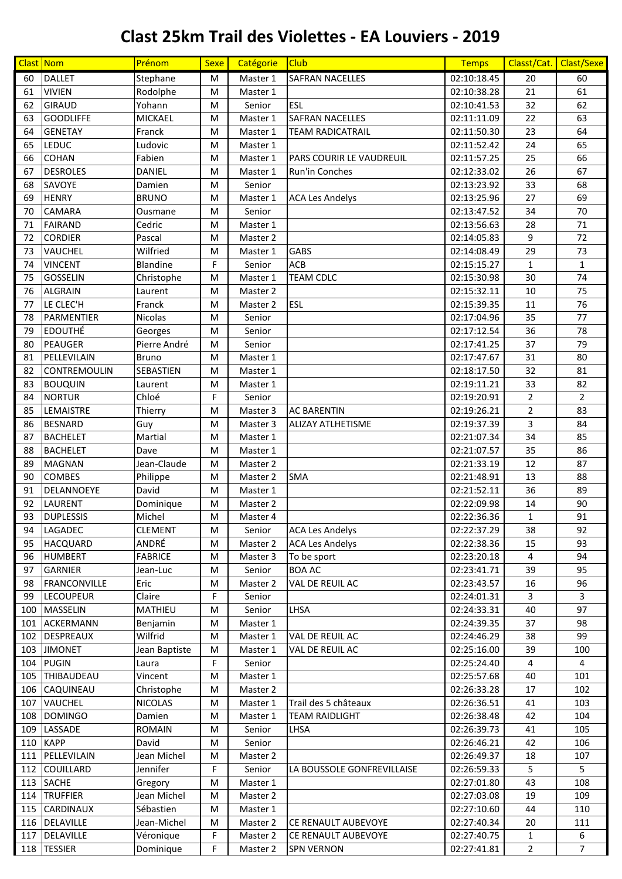## **Clast 25km Trail des Violettes - EA Louviers - 2019**

| Clast Nom |                     | Prénom           | <b>Sexe</b> | Catégorie | <b>Club</b>                     | <b>Temps</b> |                | Classt/Cat. Clast/Sexe |
|-----------|---------------------|------------------|-------------|-----------|---------------------------------|--------------|----------------|------------------------|
| 60        | <b>DALLET</b>       | Stephane         | M           | Master 1  | <b>SAFRAN NACELLES</b>          | 02:10:18.45  | 20             | 60                     |
| 61        | <b>VIVIEN</b>       | Rodolphe         | M           | Master 1  |                                 | 02:10:38.28  | 21             | 61                     |
| 62        | <b>GIRAUD</b>       | Yohann           | M           | Senior    | <b>ESL</b>                      | 02:10:41.53  | 32             | 62                     |
| 63        | <b>GOODLIFFE</b>    | <b>MICKAEL</b>   | M           | Master 1  | <b>SAFRAN NACELLES</b>          | 02:11:11.09  | 22             | 63                     |
| 64        | <b>GENETAY</b>      | Franck           | M           | Master 1  | <b>TEAM RADICATRAIL</b>         | 02:11:50.30  | 23             | 64                     |
| 65        | <b>LEDUC</b>        | Ludovic          | M           | Master 1  |                                 | 02:11:52.42  | 24             | 65                     |
| 66        | <b>COHAN</b>        | Fabien           | M           | Master 1  | <b>PARS COURIR LE VAUDREUIL</b> | 02:11:57.25  | 25             | 66                     |
| 67        | <b>DESROLES</b>     | <b>DANIEL</b>    | M           | Master 1  | Run'in Conches                  | 02:12:33.02  | 26             | 67                     |
| 68        | SAVOYE              | Damien           | M           | Senior    |                                 | 02:13:23.92  | 33             | 68                     |
| 69        | <b>HENRY</b>        | <b>BRUNO</b>     | M           | Master 1  | <b>ACA Les Andelys</b>          | 02:13:25.96  | 27             | 69                     |
| 70        | <b>CAMARA</b>       | Ousmane          | M           | Senior    |                                 | 02:13:47.52  | 34             | 70                     |
| 71        | <b>FAIRAND</b>      | Cedric           | M           | Master 1  |                                 | 02:13:56.63  | 28             | 71                     |
| 72        | <b>CORDIER</b>      | Pascal           | M           | Master 2  |                                 | 02:14:05.83  | 9              | 72                     |
| 73        | <b>VAUCHEL</b>      | Wilfried         | M           | Master 1  | <b>GABS</b>                     | 02:14:08.49  | 29             | 73                     |
| 74        | <b>VINCENT</b>      | <b>Blandine</b>  | F           | Senior    | <b>ACB</b>                      | 02:15:15.27  | $\mathbf{1}$   | $\mathbf{1}$           |
| 75        | <b>GOSSELIN</b>     | Christophe       | M           | Master 1  | <b>TEAM CDLC</b>                | 02:15:30.98  | 30             | 74                     |
| 76        | <b>ALGRAIN</b>      | Laurent          | M           | Master 2  |                                 | 02:15:32.11  | 10             | 75                     |
| 77        | LE CLEC'H           | Franck           | M           | Master 2  | <b>ESL</b>                      | 02:15:39.35  | 11             | 76                     |
| 78        | PARMENTIER          | Nicolas          | M           | Senior    |                                 | 02:17:04.96  | 35             | 77                     |
| 79        | <b>EDOUTHÉ</b>      | Georges          | M           | Senior    |                                 | 02:17:12.54  | 36             | 78                     |
| 80        | PEAUGER             | Pierre André     | M           | Senior    |                                 | 02:17:41.25  | 37             | 79                     |
| 81        | PELLEVILAIN         | <b>Bruno</b>     | M           | Master 1  |                                 | 02:17:47.67  | 31             | 80                     |
| 82        | CONTREMOULIN        | <b>SEBASTIEN</b> | M           | Master 1  |                                 | 02:18:17.50  | 32             | 81                     |
| 83        | <b>BOUQUIN</b>      | Laurent          | M           | Master 1  |                                 | 02:19:11.21  | 33             | 82                     |
| 84        | <b>NORTUR</b>       | Chloé            | F           | Senior    |                                 | 02:19:20.91  | $\overline{2}$ | $\overline{2}$         |
| 85        | LEMAISTRE           | Thierry          | M           | Master 3  | <b>AC BARENTIN</b>              | 02:19:26.21  | $\overline{2}$ | 83                     |
| 86        | <b>BESNARD</b>      | Guy              | M           | Master 3  | <b>ALIZAY ATLHETISME</b>        | 02:19:37.39  | 3              | 84                     |
| 87        | <b>BACHELET</b>     | Martial          | M           | Master 1  |                                 | 02:21:07.34  | 34             | 85                     |
| 88        | <b>BACHELET</b>     | Dave             | M           | Master 1  |                                 | 02:21:07.57  | 35             | 86                     |
| 89        | <b>MAGNAN</b>       | Jean-Claude      | M           | Master 2  |                                 | 02:21:33.19  | 12             | 87                     |
| 90        | <b>COMBES</b>       | Philippe         | M           | Master 2  | <b>SMA</b>                      | 02:21:48.91  | 13             | 88                     |
| 91        | DELANNOEYE          | David            | M           | Master 1  |                                 | 02:21:52.11  | 36             | 89                     |
| 92        | LAURENT             | Dominique        | M           | Master 2  |                                 | 02:22:09.98  | 14             | 90                     |
| 93        | <b>DUPLESSIS</b>    | Michel           | M           | Master 4  |                                 | 02:22:36.36  | $\mathbf{1}$   | 91                     |
| 94        | LAGADEC             | <b>CLEMENT</b>   | M           | Senior    | <b>ACA Les Andelys</b>          | 02:22:37.29  | 38             | 92                     |
| 95        | <b>HACQUARD</b>     | ANDRÉ            | M           | Master 2  | <b>ACA Les Andelys</b>          | 02:22:38.36  | 15             | 93                     |
| 96        | <b>HUMBERT</b>      | <b>FABRICE</b>   | M           | Master 3  | To be sport                     | 02:23:20.18  | 4              | 94                     |
| 97        | <b>GARNIER</b>      | Jean-Luc         | M           | Senior    | <b>BOA AC</b>                   | 02:23:41.71  | 39             | 95                     |
| 98        | <b>FRANCONVILLE</b> | Eric             | M           | Master 2  | VAL DE REUIL AC                 | 02:23:43.57  | 16             | 96                     |
| 99        | <b>LECOUPEUR</b>    | Claire           | F           | Senior    |                                 | 02:24:01.31  | 3              | 3                      |
| 100       | MASSELIN            | MATHIEU          | М           | Senior    | LHSA                            | 02:24:33.31  | 40             | 97                     |
| 101       | ACKERMANN           | Benjamin         | M           | Master 1  |                                 | 02:24:39.35  | 37             | 98                     |
| 102       | <b>DESPREAUX</b>    | Wilfrid          | М           | Master 1  | VAL DE REUIL AC                 | 02:24:46.29  | 38             | 99                     |
|           | 103 JIMONET         | Jean Baptiste    | M           | Master 1  | VAL DE REUIL AC                 | 02:25:16.00  | 39             | 100                    |
|           | 104 PUGIN           | Laura            | F           | Senior    |                                 | 02:25:24.40  | 4              | 4                      |
| 105       | THIBAUDEAU          | Vincent          | M           | Master 1  |                                 | 02:25:57.68  | 40             | 101                    |
| 106       | CAQUINEAU           | Christophe       | М           | Master 2  |                                 | 02:26:33.28  | 17             | 102                    |
| 107       | VAUCHEL             | <b>NICOLAS</b>   | M           | Master 1  | Trail des 5 châteaux            | 02:26:36.51  | 41             | 103                    |
| 108       | <b>DOMINGO</b>      | Damien           | M           | Master 1  | <b>TEAM RAIDLIGHT</b>           | 02:26:38.48  | 42             | 104                    |
| 109       | LASSADE             | <b>ROMAIN</b>    | M           | Senior    | LHSA                            | 02:26:39.73  | 41             | 105                    |
| 110       | <b>KAPP</b>         | David            | М           | Senior    |                                 | 02:26:46.21  | 42             | 106                    |
| 111       | PELLEVILAIN         | Jean Michel      | M           | Master 2  |                                 | 02:26:49.37  | 18             | 107                    |
|           | 112 COUILLARD       | Jennifer         | F           | Senior    | LA BOUSSOLE GONFREVILLAISE      | 02:26:59.33  | 5              | 5.                     |
| 113       | <b>SACHE</b>        | Gregory          | M           | Master 1  |                                 | 02:27:01.80  | 43             | 108                    |
| 114       | <b>TRUFFIER</b>     | Jean Michel      | M           | Master 2  |                                 | 02:27:03.08  | 19             | 109                    |
| 115       | CARDINAUX           | Sébastien        | M           | Master 1  |                                 | 02:27:10.60  | 44             | 110                    |
|           | 116 DELAVILLE       | Jean-Michel      | М           | Master 2  | CE RENAULT AUBEVOYE             | 02:27:40.34  | 20             | 111                    |
| 117       | DELAVILLE           | Véronique        | F           | Master 2  | CE RENAULT AUBEVOYE             | 02:27:40.75  | 1              | 6                      |
|           | 118 TESSIER         | Dominique        | F           | Master 2  | <b>SPN VERNON</b>               | 02:27:41.81  | $\overline{2}$ | $\overline{7}$         |